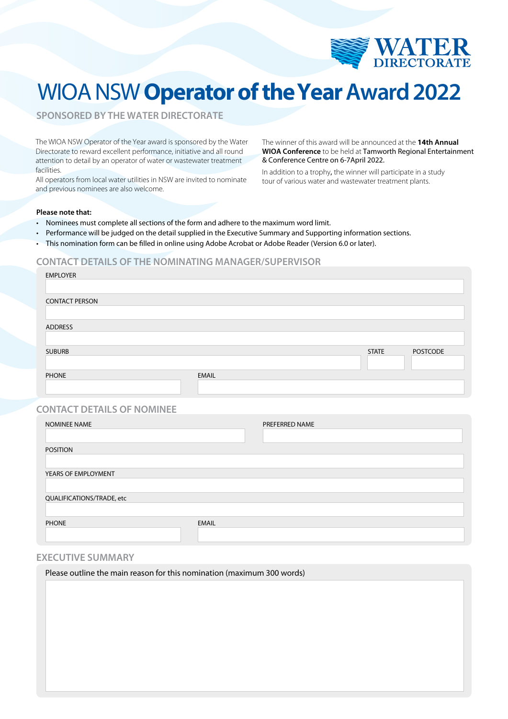

# WIOA NSW **Operator of theYear Award 2022**

**SPONSORED BY THE WATER DIRECTORATE**

The WIOA NSW Operator of the Year award is sponsored by the Water Directorate to reward excellent performance, initiative and all round attention to detail by an operator of water or wastewater treatment facilities.

All operators from local water utilities in NSW are invited to nominate and previous nominees are also welcome.

The winner of this award will be announced at the **14th Annual WIOA Conference** to be held at Tamworth Regional Entertainment & Conference Centre on 6-7April 2022.

In addition to a trophy, the winner will participate in a study tour of various water and wastewater treatment plants.

#### **Please note that:**

- Nominees must complete all sections of the form and adhere to the maximum word limit.
- Performance will be judged on the detail supplied in the Executive Summary and Supporting information sections.
- This nomination form can be filled in online using Adobe Acrobat or Adobe Reader (Version 6.0 or later).

### **CONTACT DETAILS OF THE NOMINATING MANAGER/SUPERVISOR**

| <b>EMPLOYER</b>                   |              |                |              |                 |
|-----------------------------------|--------------|----------------|--------------|-----------------|
| <b>CONTACT PERSON</b>             |              |                |              |                 |
| <b>ADDRESS</b>                    |              |                |              |                 |
|                                   |              |                |              |                 |
| <b>SUBURB</b>                     |              |                | <b>STATE</b> | <b>POSTCODE</b> |
| <b>PHONE</b>                      | <b>EMAIL</b> |                |              |                 |
| <b>CONTACT DETAILS OF NOMINEE</b> |              |                |              |                 |
| NOMINEE NAME                      |              | PREFERRED NAME |              |                 |
| <b>POSITION</b>                   |              |                |              |                 |
| YEARS OF EMPLOYMENT               |              |                |              |                 |
| QUALIFICATIONS/TRADE, etc         |              |                |              |                 |
| <b>PHONE</b>                      | <b>EMAIL</b> |                |              |                 |

### **EXECUTIVE SUMMARY**

Please outline the main reason for this nomination (maximum 300 words)